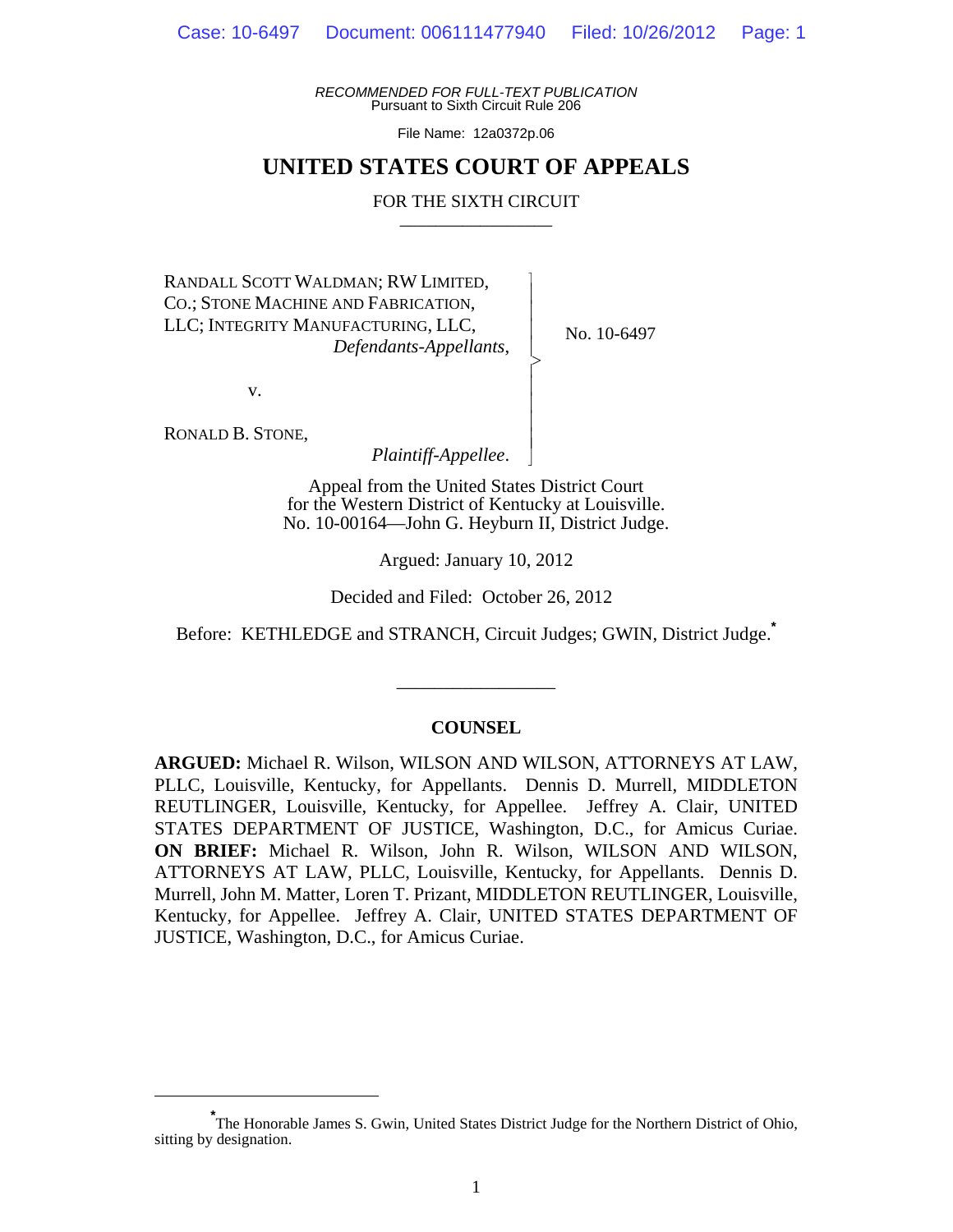*RECOMMENDED FOR FULL-TEXT PUBLICATION* Pursuant to Sixth Circuit Rule 206

File Name: 12a0372p.06

## **UNITED STATES COURT OF APPEALS**

#### FOR THE SIXTH CIRCUIT

 $\overline{\phantom{a}}$ - - - > , - - - - N

RANDALL SCOTT WALDMAN; RW LIMITED, CO.; STONE MACHINE AND FABRICATION, LLC; INTEGRITY MANUFACTURING, LLC, *Defendants-Appellants*,

No. 10-6497

v.

RONALD B. STONE,

*Plaintiff-Appellee*.

Appeal from the United States District Court for the Western District of Kentucky at Louisville. No. 10-00164—John G. Heyburn II, District Judge.

Argued: January 10, 2012

Decided and Filed: October 26, 2012

Before: KETHLEDGE and STRANCH, Circuit Judges; GWIN, District Judge.**\***

### **COUNSEL**

\_\_\_\_\_\_\_\_\_\_\_\_\_\_\_\_\_

**ARGUED:** Michael R. Wilson, WILSON AND WILSON, ATTORNEYS AT LAW, PLLC, Louisville, Kentucky, for Appellants. Dennis D. Murrell, MIDDLETON REUTLINGER, Louisville, Kentucky, for Appellee. Jeffrey A. Clair, UNITED STATES DEPARTMENT OF JUSTICE, Washington, D.C., for Amicus Curiae. **ON BRIEF:** Michael R. Wilson, John R. Wilson, WILSON AND WILSON, ATTORNEYS AT LAW, PLLC, Louisville, Kentucky, for Appellants. Dennis D. Murrell, John M. Matter, Loren T. Prizant, MIDDLETON REUTLINGER, Louisville, Kentucky, for Appellee. Jeffrey A. Clair, UNITED STATES DEPARTMENT OF JUSTICE, Washington, D.C., for Amicus Curiae.

**<sup>\*</sup>** The Honorable James S. Gwin, United States District Judge for the Northern District of Ohio, sitting by designation.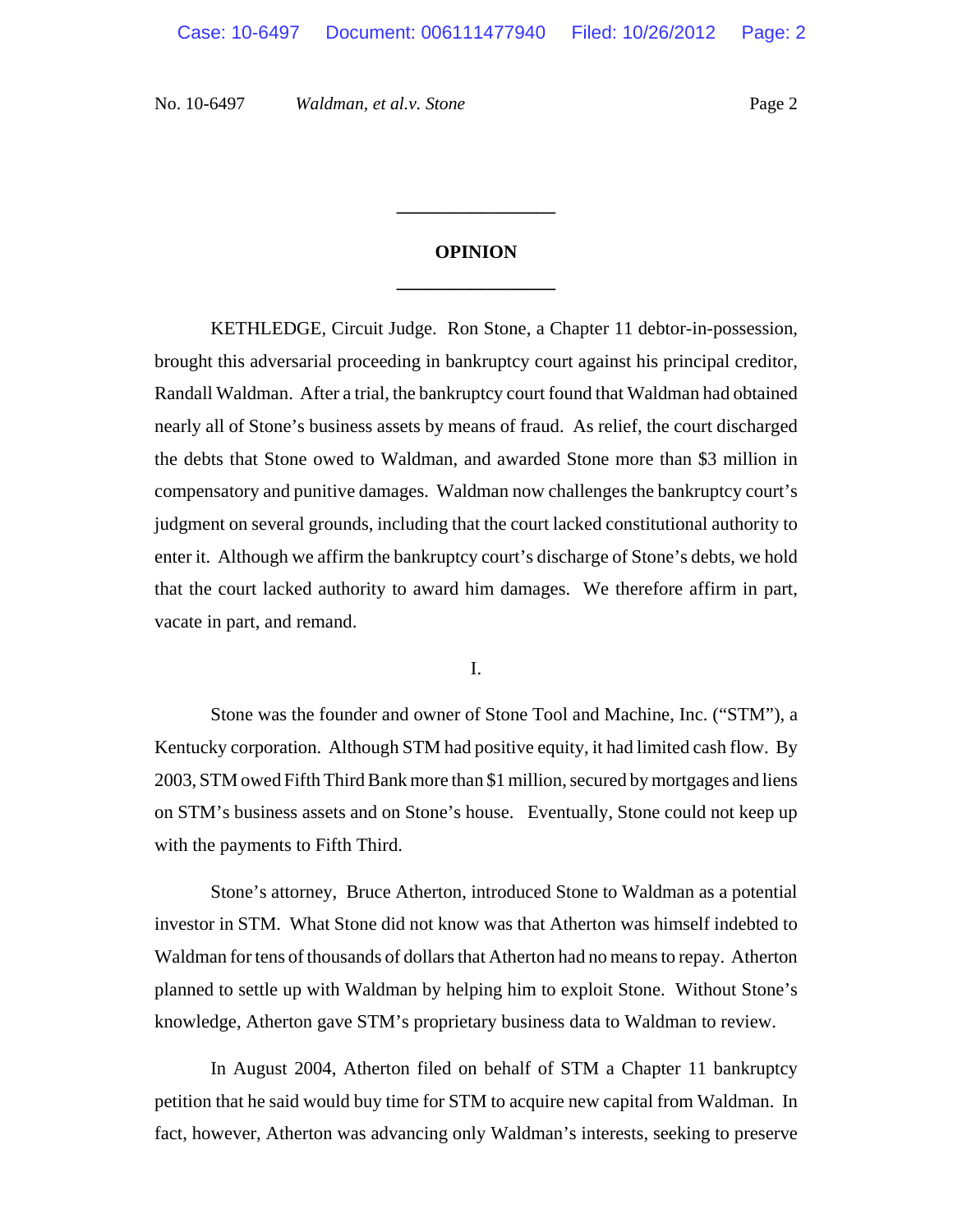# **OPINION \_\_\_\_\_\_\_\_\_\_\_\_\_\_\_\_\_**

**\_\_\_\_\_\_\_\_\_\_\_\_\_\_\_\_\_**

KETHLEDGE, Circuit Judge. Ron Stone, a Chapter 11 debtor-in-possession, brought this adversarial proceeding in bankruptcy court against his principal creditor, Randall Waldman. After a trial, the bankruptcy court found that Waldman had obtained nearly all of Stone's business assets by means of fraud. As relief, the court discharged the debts that Stone owed to Waldman, and awarded Stone more than \$3 million in compensatory and punitive damages. Waldman now challenges the bankruptcy court's judgment on several grounds, including that the court lacked constitutional authority to enter it. Although we affirm the bankruptcy court's discharge of Stone's debts, we hold that the court lacked authority to award him damages. We therefore affirm in part, vacate in part, and remand.

I.

Stone was the founder and owner of Stone Tool and Machine, Inc. ("STM"), a Kentucky corporation. Although STM had positive equity, it had limited cash flow. By 2003, STM owed Fifth Third Bank more than \$1 million, secured by mortgages and liens on STM's business assets and on Stone's house. Eventually, Stone could not keep up with the payments to Fifth Third.

Stone's attorney, Bruce Atherton, introduced Stone to Waldman as a potential investor in STM. What Stone did not know was that Atherton was himself indebted to Waldman for tens of thousands of dollars that Atherton had no means to repay. Atherton planned to settle up with Waldman by helping him to exploit Stone. Without Stone's knowledge, Atherton gave STM's proprietary business data to Waldman to review.

In August 2004, Atherton filed on behalf of STM a Chapter 11 bankruptcy petition that he said would buy time for STM to acquire new capital from Waldman. In fact, however, Atherton was advancing only Waldman's interests, seeking to preserve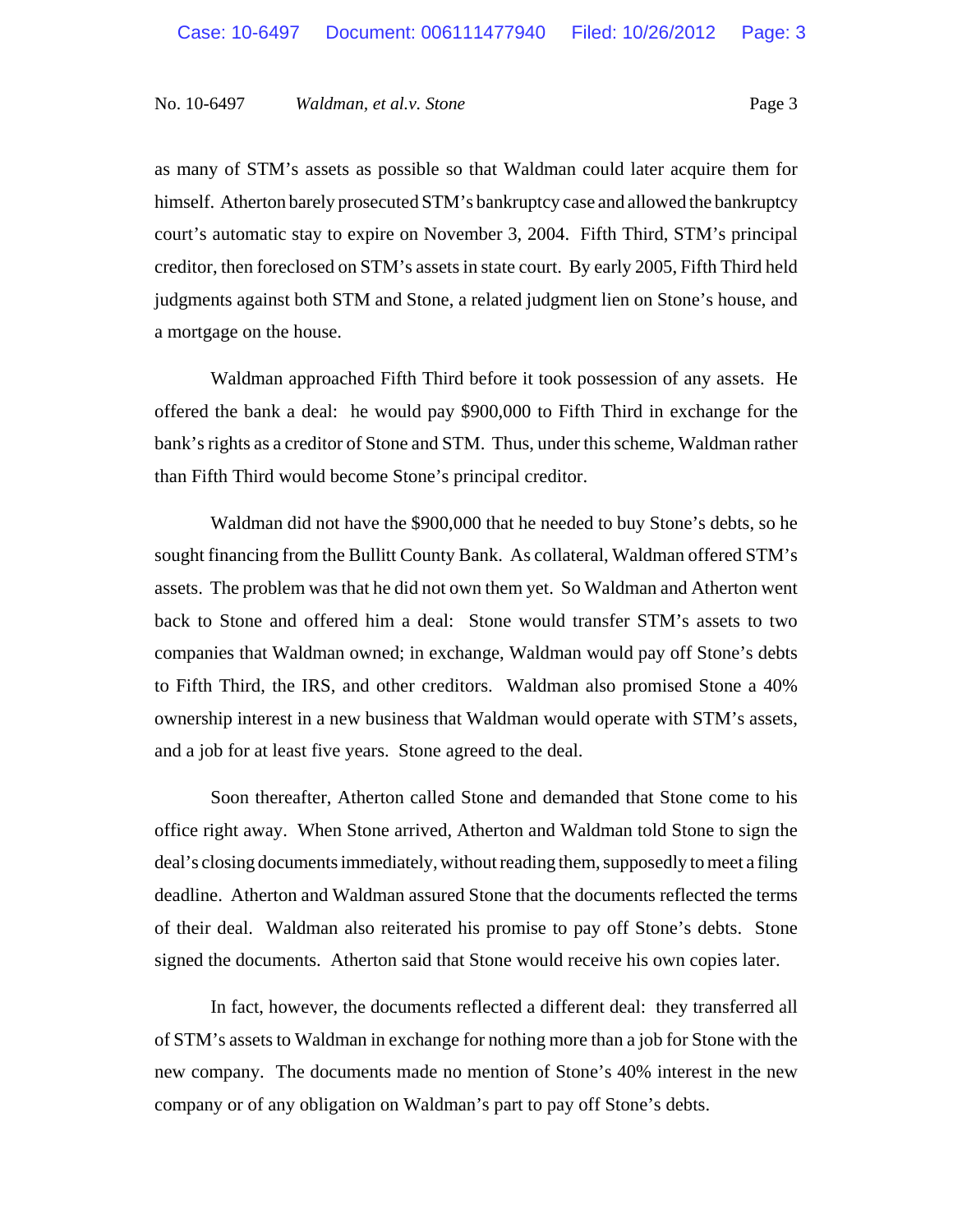as many of STM's assets as possible so that Waldman could later acquire them for himself. Atherton barely prosecuted STM's bankruptcy case and allowed the bankruptcy court's automatic stay to expire on November 3, 2004. Fifth Third, STM's principal creditor, then foreclosed on STM's assets in state court. By early 2005, Fifth Third held judgments against both STM and Stone, a related judgment lien on Stone's house, and a mortgage on the house.

Waldman approached Fifth Third before it took possession of any assets. He offered the bank a deal: he would pay \$900,000 to Fifth Third in exchange for the bank's rights as a creditor of Stone and STM. Thus, under this scheme, Waldman rather than Fifth Third would become Stone's principal creditor.

Waldman did not have the \$900,000 that he needed to buy Stone's debts, so he sought financing from the Bullitt County Bank. As collateral, Waldman offered STM's assets. The problem was that he did not own them yet. So Waldman and Atherton went back to Stone and offered him a deal: Stone would transfer STM's assets to two companies that Waldman owned; in exchange, Waldman would pay off Stone's debts to Fifth Third, the IRS, and other creditors. Waldman also promised Stone a 40% ownership interest in a new business that Waldman would operate with STM's assets, and a job for at least five years. Stone agreed to the deal.

Soon thereafter, Atherton called Stone and demanded that Stone come to his office right away. When Stone arrived, Atherton and Waldman told Stone to sign the deal's closing documents immediately, without reading them, supposedly to meet a filing deadline. Atherton and Waldman assured Stone that the documents reflected the terms of their deal. Waldman also reiterated his promise to pay off Stone's debts. Stone signed the documents. Atherton said that Stone would receive his own copies later.

In fact, however, the documents reflected a different deal: they transferred all of STM's assets to Waldman in exchange for nothing more than a job for Stone with the new company. The documents made no mention of Stone's 40% interest in the new company or of any obligation on Waldman's part to pay off Stone's debts.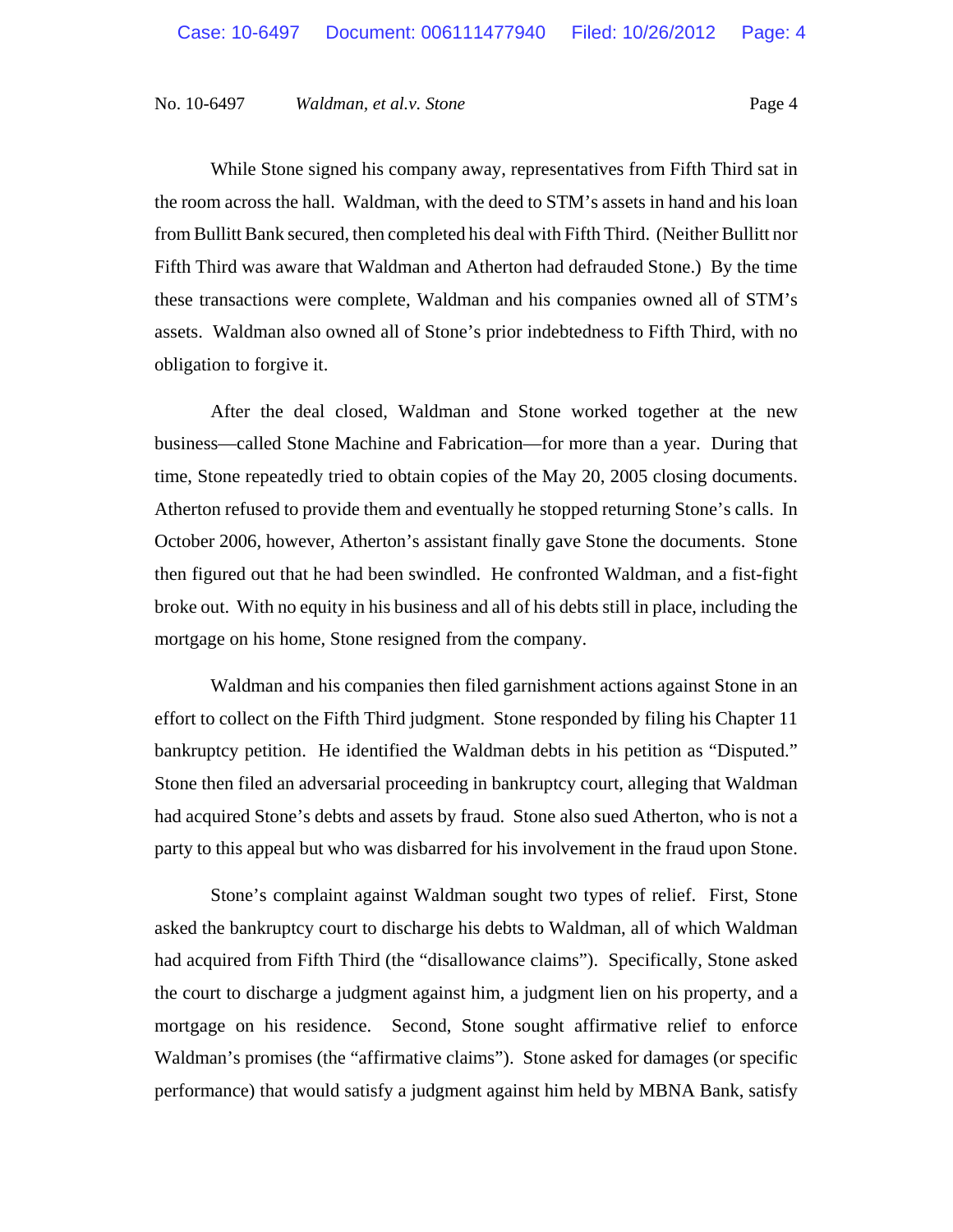While Stone signed his company away, representatives from Fifth Third sat in the room across the hall. Waldman, with the deed to STM's assets in hand and his loan from Bullitt Bank secured, then completed his deal with Fifth Third. (Neither Bullitt nor Fifth Third was aware that Waldman and Atherton had defrauded Stone.) By the time these transactions were complete, Waldman and his companies owned all of STM's assets. Waldman also owned all of Stone's prior indebtedness to Fifth Third, with no obligation to forgive it.

After the deal closed, Waldman and Stone worked together at the new business—called Stone Machine and Fabrication—for more than a year. During that time, Stone repeatedly tried to obtain copies of the May 20, 2005 closing documents. Atherton refused to provide them and eventually he stopped returning Stone's calls. In October 2006, however, Atherton's assistant finally gave Stone the documents. Stone then figured out that he had been swindled. He confronted Waldman, and a fist-fight broke out. With no equity in his business and all of his debts still in place, including the mortgage on his home, Stone resigned from the company.

Waldman and his companies then filed garnishment actions against Stone in an effort to collect on the Fifth Third judgment. Stone responded by filing his Chapter 11 bankruptcy petition. He identified the Waldman debts in his petition as "Disputed." Stone then filed an adversarial proceeding in bankruptcy court, alleging that Waldman had acquired Stone's debts and assets by fraud. Stone also sued Atherton, who is not a party to this appeal but who was disbarred for his involvement in the fraud upon Stone.

Stone's complaint against Waldman sought two types of relief. First, Stone asked the bankruptcy court to discharge his debts to Waldman, all of which Waldman had acquired from Fifth Third (the "disallowance claims"). Specifically, Stone asked the court to discharge a judgment against him, a judgment lien on his property, and a mortgage on his residence. Second, Stone sought affirmative relief to enforce Waldman's promises (the "affirmative claims"). Stone asked for damages (or specific performance) that would satisfy a judgment against him held by MBNA Bank, satisfy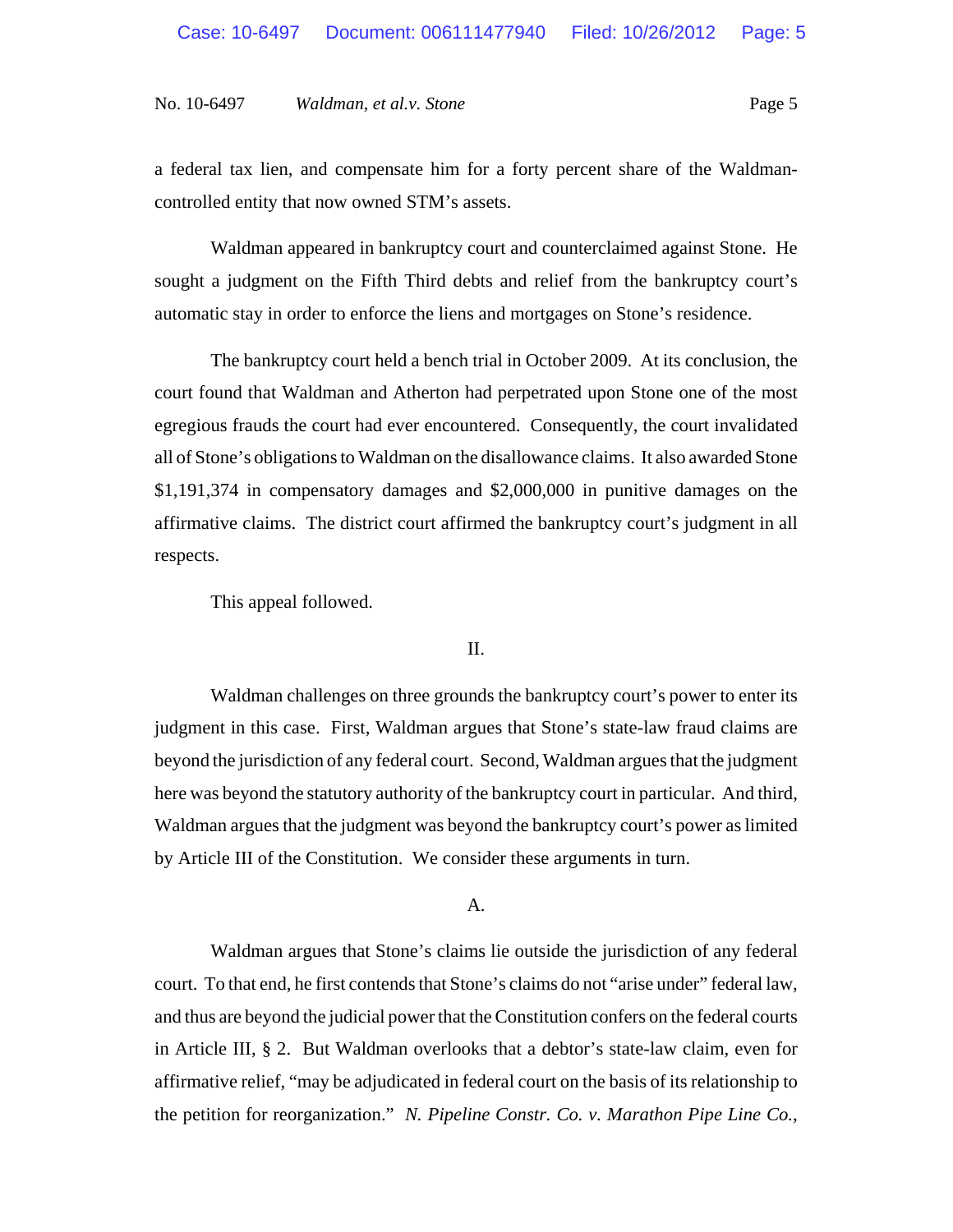a federal tax lien, and compensate him for a forty percent share of the Waldmancontrolled entity that now owned STM's assets.

Waldman appeared in bankruptcy court and counterclaimed against Stone. He sought a judgment on the Fifth Third debts and relief from the bankruptcy court's automatic stay in order to enforce the liens and mortgages on Stone's residence.

The bankruptcy court held a bench trial in October 2009. At its conclusion, the court found that Waldman and Atherton had perpetrated upon Stone one of the most egregious frauds the court had ever encountered. Consequently, the court invalidated all of Stone's obligations to Waldman on the disallowance claims. It also awarded Stone \$1,191,374 in compensatory damages and \$2,000,000 in punitive damages on the affirmative claims. The district court affirmed the bankruptcy court's judgment in all respects.

This appeal followed.

#### II.

Waldman challenges on three grounds the bankruptcy court's power to enter its judgment in this case. First, Waldman argues that Stone's state-law fraud claims are beyond the jurisdiction of any federal court. Second, Waldman argues that the judgment here was beyond the statutory authority of the bankruptcy court in particular. And third, Waldman argues that the judgment was beyond the bankruptcy court's power as limited by Article III of the Constitution. We consider these arguments in turn.

#### A.

Waldman argues that Stone's claims lie outside the jurisdiction of any federal court. To that end, he first contends that Stone's claims do not "arise under" federal law, and thus are beyond the judicial power that the Constitution confers on the federal courts in Article III, § 2. But Waldman overlooks that a debtor's state-law claim, even for affirmative relief, "may be adjudicated in federal court on the basis of its relationship to the petition for reorganization." *N. Pipeline Constr. Co. v. Marathon Pipe Line Co.*,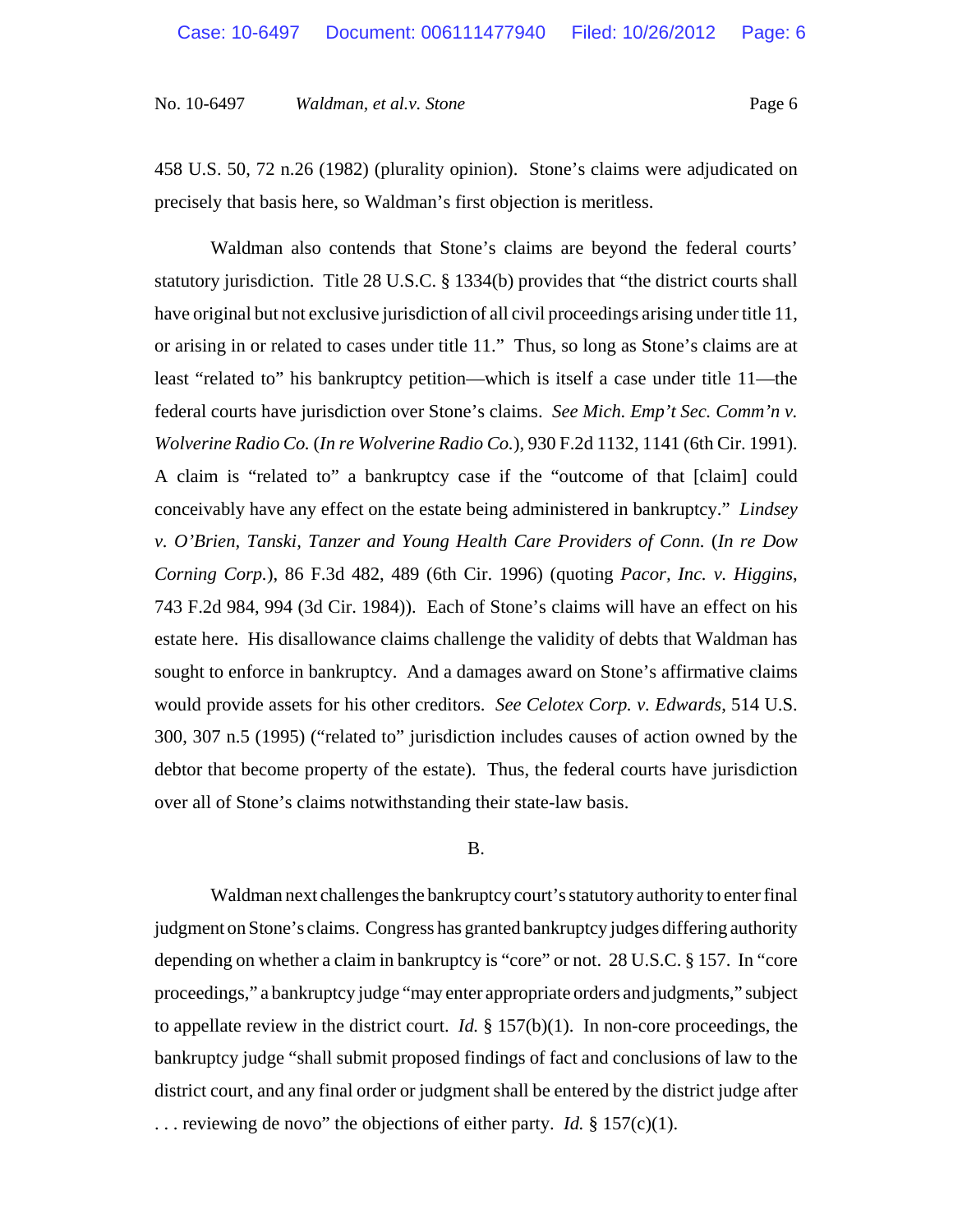458 U.S. 50, 72 n.26 (1982) (plurality opinion). Stone's claims were adjudicated on precisely that basis here, so Waldman's first objection is meritless.

Waldman also contends that Stone's claims are beyond the federal courts' statutory jurisdiction. Title 28 U.S.C. § 1334(b) provides that "the district courts shall have original but not exclusive jurisdiction of all civil proceedings arising under title 11, or arising in or related to cases under title 11." Thus, so long as Stone's claims are at least "related to" his bankruptcy petition—which is itself a case under title 11—the federal courts have jurisdiction over Stone's claims. *See Mich. Emp't Sec. Comm'n v. Wolverine Radio Co.* (*In re Wolverine Radio Co.*), 930 F.2d 1132, 1141 (6th Cir. 1991). A claim is "related to" a bankruptcy case if the "outcome of that [claim] could conceivably have any effect on the estate being administered in bankruptcy." *Lindsey v. O'Brien, Tanski, Tanzer and Young Health Care Providers of Conn.* (*In re Dow Corning Corp.*), 86 F.3d 482, 489 (6th Cir. 1996) (quoting *Pacor, Inc. v. Higgins*, 743 F.2d 984, 994 (3d Cir. 1984)). Each of Stone's claims will have an effect on his estate here. His disallowance claims challenge the validity of debts that Waldman has sought to enforce in bankruptcy. And a damages award on Stone's affirmative claims would provide assets for his other creditors. *See Celotex Corp. v. Edwards*, 514 U.S. 300, 307 n.5 (1995) ("related to" jurisdiction includes causes of action owned by the debtor that become property of the estate). Thus, the federal courts have jurisdiction over all of Stone's claims notwithstanding their state-law basis.

#### B.

Waldman next challenges the bankruptcy court's statutory authority to enter final judgment on Stone's claims. Congress has granted bankruptcy judges differing authority depending on whether a claim in bankruptcy is "core" or not. 28 U.S.C. § 157. In "core proceedings," a bankruptcy judge "may enter appropriate orders and judgments," subject to appellate review in the district court. *Id.* § 157(b)(1). In non-core proceedings, the bankruptcy judge "shall submit proposed findings of fact and conclusions of law to the district court, and any final order or judgment shall be entered by the district judge after . . . reviewing de novo" the objections of either party. *Id.* § 157(c)(1).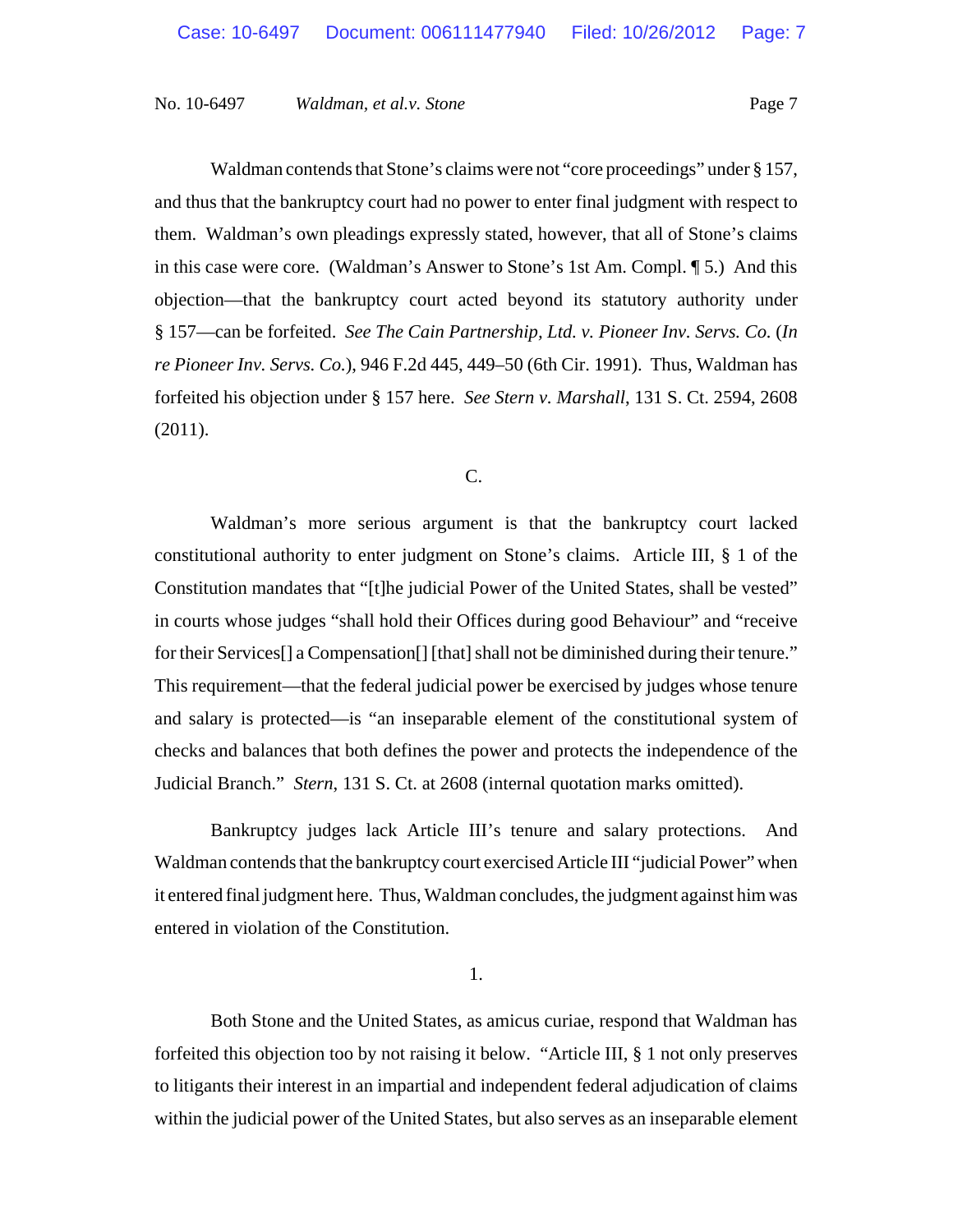Waldman contends that Stone's claims were not "core proceedings" under § 157, and thus that the bankruptcy court had no power to enter final judgment with respect to them. Waldman's own pleadings expressly stated, however, that all of Stone's claims in this case were core. (Waldman's Answer to Stone's 1st Am. Compl. ¶ 5.) And this objection—that the bankruptcy court acted beyond its statutory authority under § 157—can be forfeited. *See The Cain Partnership, Ltd. v. Pioneer Inv. Servs. Co.* (*In re Pioneer Inv. Servs. Co.*), 946 F.2d 445, 449–50 (6th Cir. 1991). Thus, Waldman has forfeited his objection under § 157 here. *See Stern v. Marshall*, 131 S. Ct. 2594, 2608 (2011).

C.

Waldman's more serious argument is that the bankruptcy court lacked constitutional authority to enter judgment on Stone's claims. Article III, § 1 of the Constitution mandates that "[t]he judicial Power of the United States, shall be vested" in courts whose judges "shall hold their Offices during good Behaviour" and "receive for their Services<sup>[]</sup> a Compensation<sup>[]</sup> [that] shall not be diminished during their tenure." This requirement—that the federal judicial power be exercised by judges whose tenure and salary is protected—is "an inseparable element of the constitutional system of checks and balances that both defines the power and protects the independence of the Judicial Branch." *Stern*, 131 S. Ct. at 2608 (internal quotation marks omitted).

Bankruptcy judges lack Article III's tenure and salary protections. And Waldman contends that the bankruptcy court exercised Article III "judicial Power" when it entered final judgment here. Thus, Waldman concludes, the judgment against him was entered in violation of the Constitution.

1.

Both Stone and the United States, as amicus curiae, respond that Waldman has forfeited this objection too by not raising it below. "Article III, § 1 not only preserves to litigants their interest in an impartial and independent federal adjudication of claims within the judicial power of the United States, but also serves as an inseparable element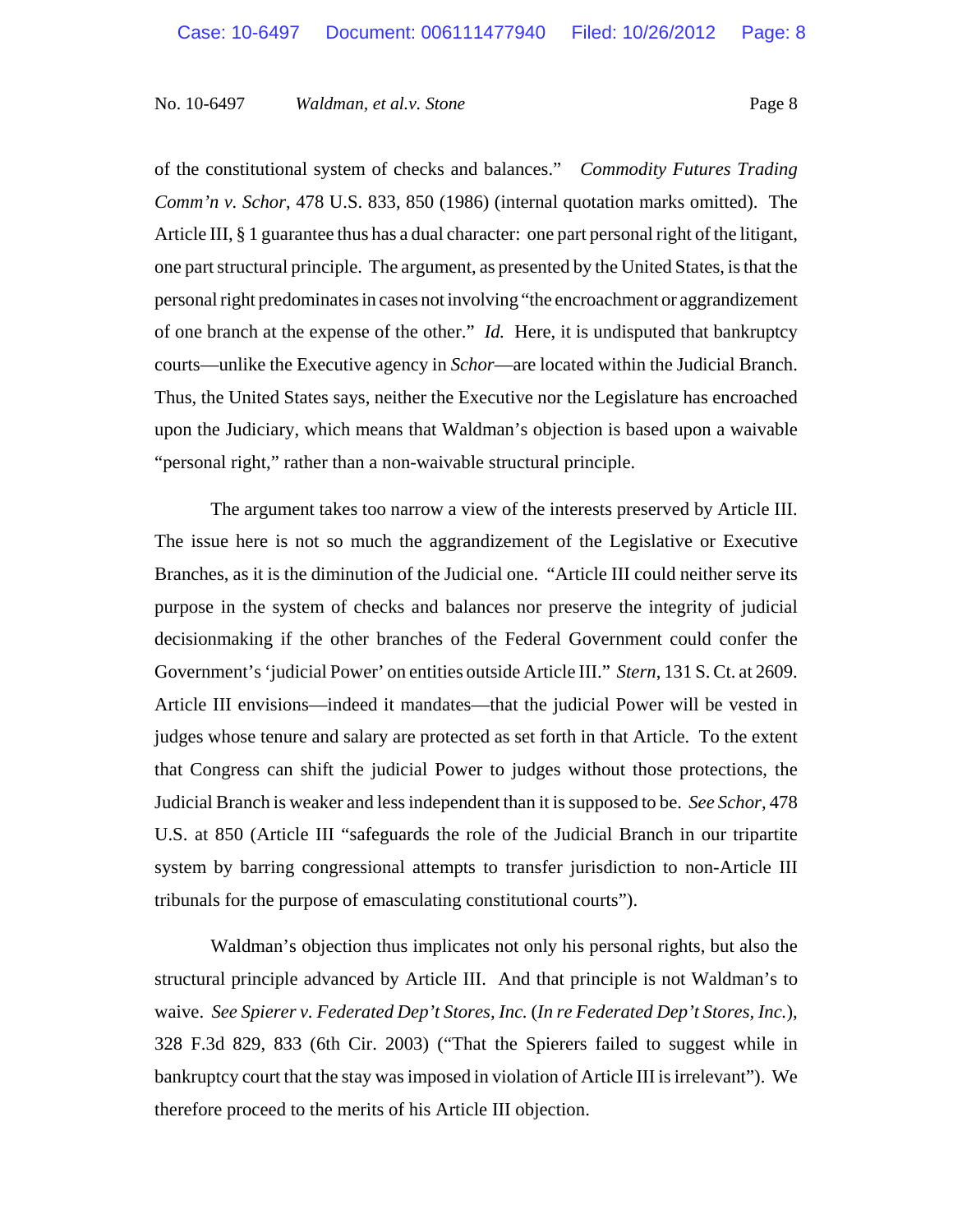of the constitutional system of checks and balances." *Commodity Futures Trading Comm'n v. Schor*, 478 U.S. 833, 850 (1986) (internal quotation marks omitted). The Article III, § 1 guarantee thus has a dual character: one part personal right of the litigant, one part structural principle. The argument, as presented by the United States, is that the personal right predominates in cases not involving "the encroachment or aggrandizement of one branch at the expense of the other." *Id.* Here, it is undisputed that bankruptcy courts—unlike the Executive agency in *Schor*—are located within the Judicial Branch. Thus, the United States says, neither the Executive nor the Legislature has encroached upon the Judiciary, which means that Waldman's objection is based upon a waivable "personal right," rather than a non-waivable structural principle.

The argument takes too narrow a view of the interests preserved by Article III. The issue here is not so much the aggrandizement of the Legislative or Executive Branches, as it is the diminution of the Judicial one. "Article III could neither serve its purpose in the system of checks and balances nor preserve the integrity of judicial decisionmaking if the other branches of the Federal Government could confer the Government's 'judicial Power' on entities outside Article III." *Stern*, 131 S. Ct. at 2609. Article III envisions—indeed it mandates—that the judicial Power will be vested in judges whose tenure and salary are protected as set forth in that Article. To the extent that Congress can shift the judicial Power to judges without those protections, the Judicial Branch is weaker and less independent than it is supposed to be. *See Schor*, 478 U.S. at 850 (Article III "safeguards the role of the Judicial Branch in our tripartite system by barring congressional attempts to transfer jurisdiction to non-Article III tribunals for the purpose of emasculating constitutional courts").

Waldman's objection thus implicates not only his personal rights, but also the structural principle advanced by Article III. And that principle is not Waldman's to waive. *See Spierer v. Federated Dep't Stores, Inc.* (*In re Federated Dep't Stores, Inc.*), 328 F.3d 829, 833 (6th Cir. 2003) ("That the Spierers failed to suggest while in bankruptcy court that the stay was imposed in violation of Article III is irrelevant"). We therefore proceed to the merits of his Article III objection.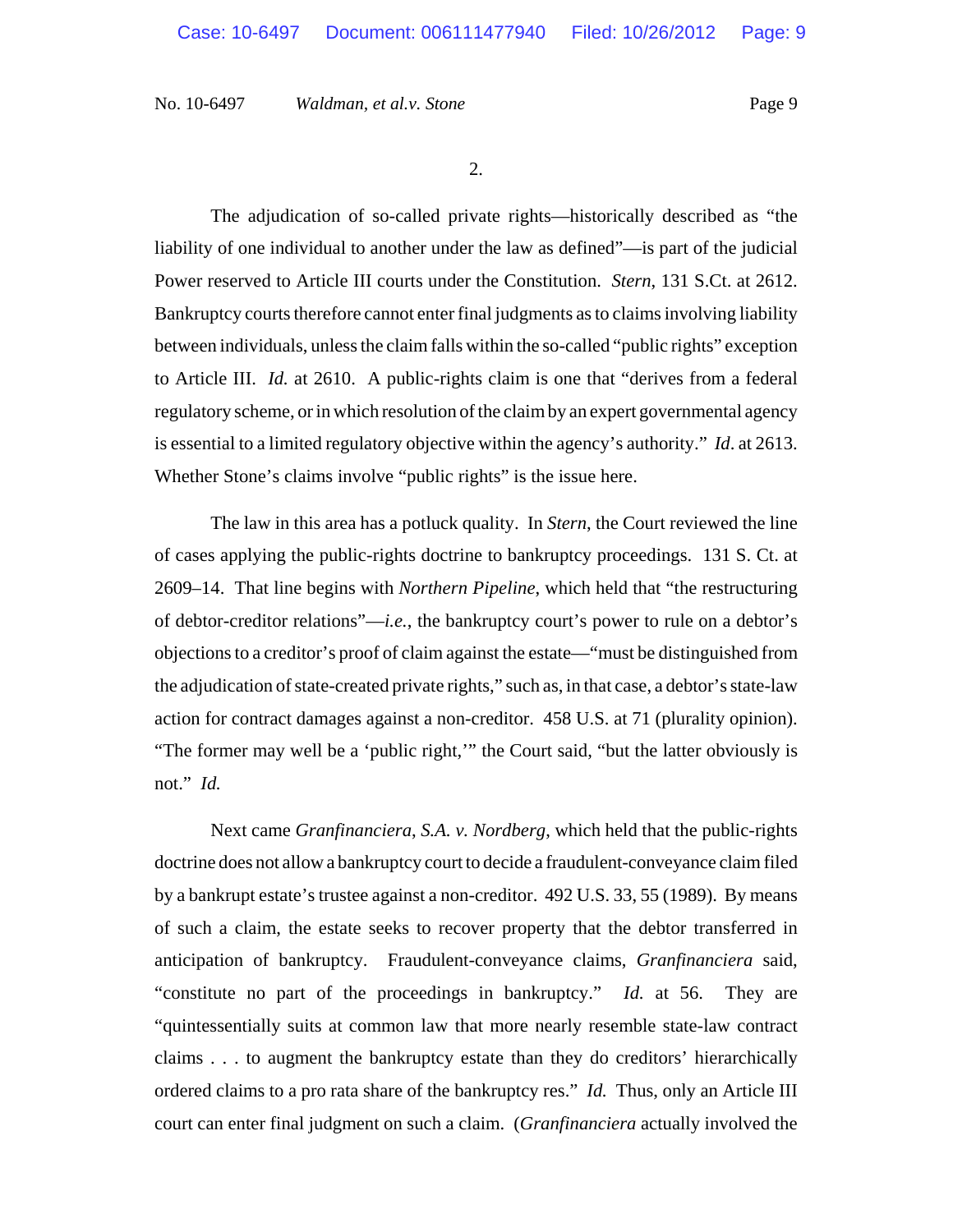2.

The adjudication of so-called private rights—historically described as "the liability of one individual to another under the law as defined"—is part of the judicial Power reserved to Article III courts under the Constitution. *Stern*, 131 S.Ct. at 2612. Bankruptcy courts therefore cannot enter final judgments as to claims involving liability between individuals, unless the claim falls within the so-called "public rights" exception to Article III. *Id.* at 2610. A public-rights claim is one that "derives from a federal regulatory scheme, or in which resolution of the claim by an expert governmental agency is essential to a limited regulatory objective within the agency's authority." *Id*. at 2613. Whether Stone's claims involve "public rights" is the issue here.

The law in this area has a potluck quality. In *Stern*, the Court reviewed the line of cases applying the public-rights doctrine to bankruptcy proceedings. 131 S. Ct. at 2609–14. That line begins with *Northern Pipeline*, which held that "the restructuring of debtor-creditor relations"—*i.e.*, the bankruptcy court's power to rule on a debtor's objections to a creditor's proof of claim against the estate—"must be distinguished from the adjudication of state-created private rights," such as, in that case, a debtor's state-law action for contract damages against a non-creditor. 458 U.S. at 71 (plurality opinion). "The former may well be a 'public right,'" the Court said, "but the latter obviously is not." *Id.*

Next came *Granfinanciera*, *S.A. v. Nordberg*, which held that the public-rights doctrine does not allow a bankruptcy court to decide a fraudulent-conveyance claim filed by a bankrupt estate's trustee against a non-creditor. 492 U.S. 33, 55 (1989). By means of such a claim, the estate seeks to recover property that the debtor transferred in anticipation of bankruptcy. Fraudulent-conveyance claims, *Granfinanciera* said, "constitute no part of the proceedings in bankruptcy." *Id.* at 56. They are "quintessentially suits at common law that more nearly resemble state-law contract claims . . . to augment the bankruptcy estate than they do creditors' hierarchically ordered claims to a pro rata share of the bankruptcy res." *Id.* Thus, only an Article III court can enter final judgment on such a claim. (*Granfinanciera* actually involved the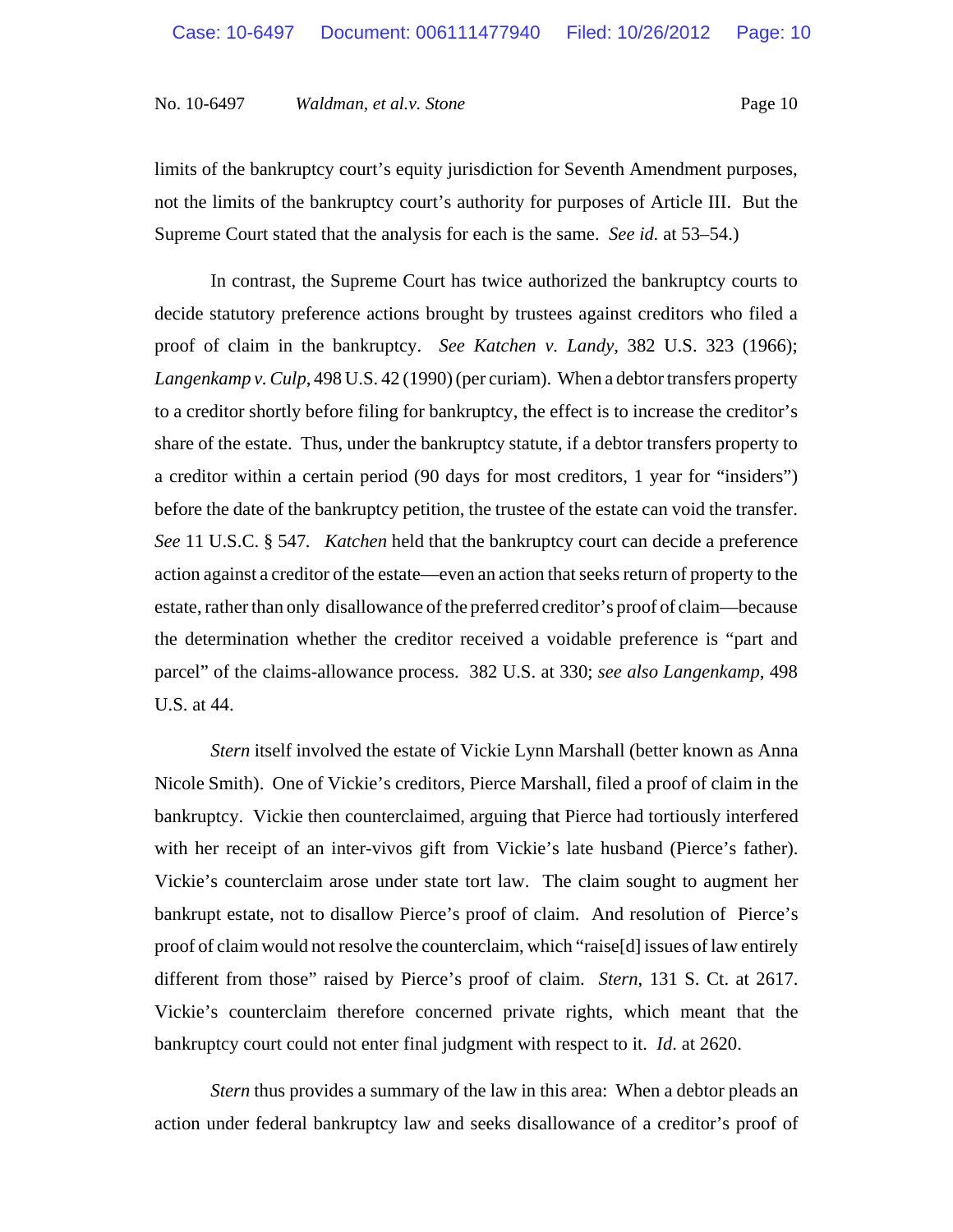limits of the bankruptcy court's equity jurisdiction for Seventh Amendment purposes, not the limits of the bankruptcy court's authority for purposes of Article III. But the Supreme Court stated that the analysis for each is the same. *See id.* at 53–54.)

In contrast, the Supreme Court has twice authorized the bankruptcy courts to decide statutory preference actions brought by trustees against creditors who filed a proof of claim in the bankruptcy. *See Katchen v. Landy*, 382 U.S. 323 (1966); *Langenkamp v. Culp*, 498 U.S. 42 (1990) (per curiam). When a debtor transfers property to a creditor shortly before filing for bankruptcy, the effect is to increase the creditor's share of the estate. Thus, under the bankruptcy statute, if a debtor transfers property to a creditor within a certain period (90 days for most creditors, 1 year for "insiders") before the date of the bankruptcy petition, the trustee of the estate can void the transfer. *See* 11 U.S.C. § 547*. Katchen* held that the bankruptcy court can decide a preference action against a creditor of the estate—even an action that seeks return of property to the estate, rather than only disallowance of the preferred creditor's proof of claim—because the determination whether the creditor received a voidable preference is "part and parcel" of the claims-allowance process. 382 U.S. at 330; *see also Langenkamp*, 498 U.S. at 44.

*Stern* itself involved the estate of Vickie Lynn Marshall (better known as Anna Nicole Smith). One of Vickie's creditors, Pierce Marshall, filed a proof of claim in the bankruptcy. Vickie then counterclaimed, arguing that Pierce had tortiously interfered with her receipt of an inter-vivos gift from Vickie's late husband (Pierce's father). Vickie's counterclaim arose under state tort law. The claim sought to augment her bankrupt estate, not to disallow Pierce's proof of claim. And resolution of Pierce's proof of claim would not resolve the counterclaim, which "raise[d] issues of law entirely different from those" raised by Pierce's proof of claim. *Stern*, 131 S. Ct. at 2617. Vickie's counterclaim therefore concerned private rights, which meant that the bankruptcy court could not enter final judgment with respect to it. *Id*. at 2620.

*Stern* thus provides a summary of the law in this area: When a debtor pleads an action under federal bankruptcy law and seeks disallowance of a creditor's proof of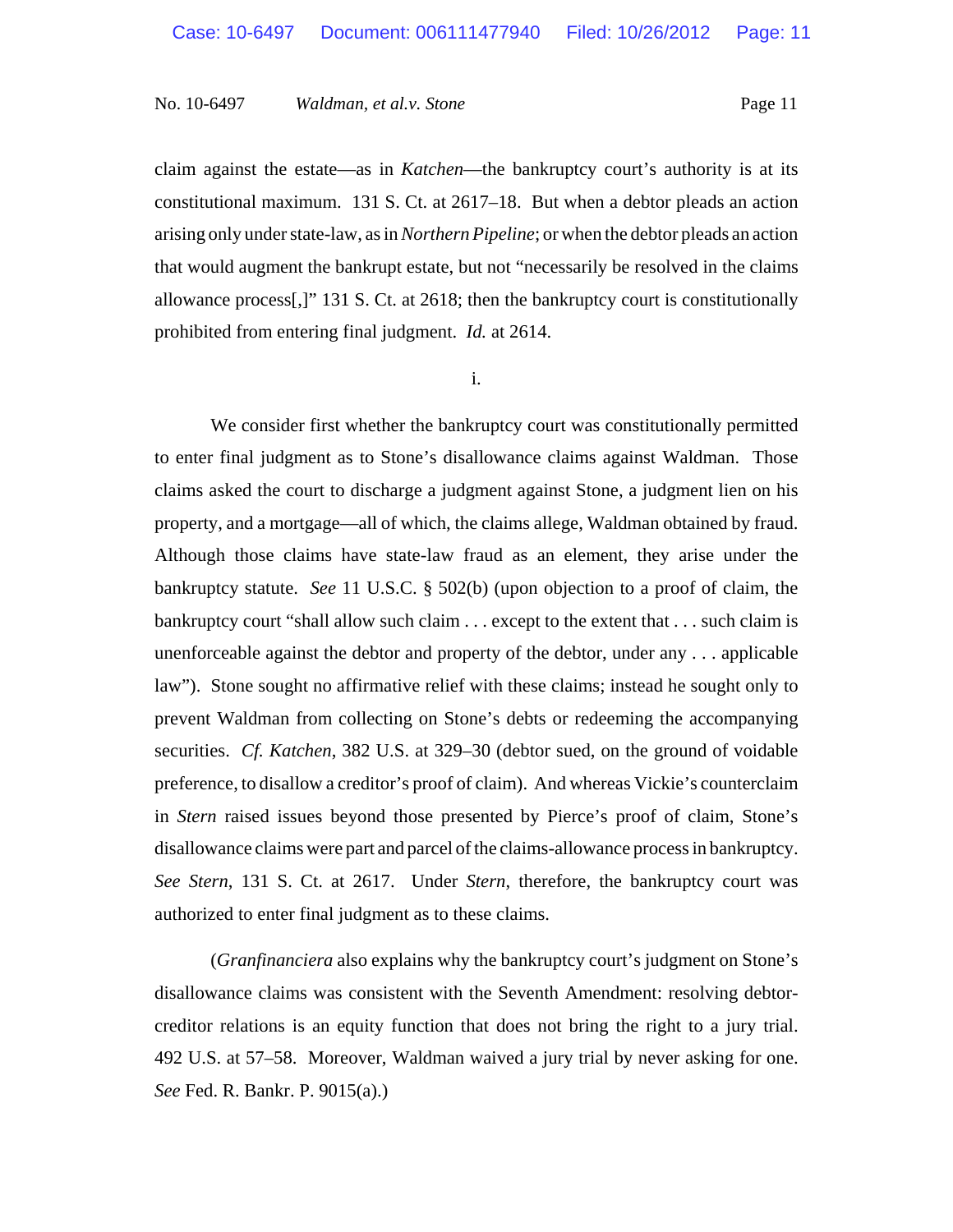claim against the estate—as in *Katchen*—the bankruptcy court's authority is at its constitutional maximum. 131 S. Ct. at 2617–18. But when a debtor pleads an action arising only under state-law, as in *Northern Pipeline*; or when the debtor pleads an action that would augment the bankrupt estate, but not "necessarily be resolved in the claims allowance process[,]" 131 S. Ct. at 2618; then the bankruptcy court is constitutionally prohibited from entering final judgment. *Id.* at 2614.

i.

We consider first whether the bankruptcy court was constitutionally permitted to enter final judgment as to Stone's disallowance claims against Waldman. Those claims asked the court to discharge a judgment against Stone, a judgment lien on his property, and a mortgage—all of which, the claims allege, Waldman obtained by fraud. Although those claims have state-law fraud as an element, they arise under the bankruptcy statute. *See* 11 U.S.C. § 502(b) (upon objection to a proof of claim, the bankruptcy court "shall allow such claim . . . except to the extent that . . . such claim is unenforceable against the debtor and property of the debtor, under any . . . applicable law"). Stone sought no affirmative relief with these claims; instead he sought only to prevent Waldman from collecting on Stone's debts or redeeming the accompanying securities. *Cf. Katchen*, 382 U.S. at 329–30 (debtor sued, on the ground of voidable preference, to disallow a creditor's proof of claim). And whereas Vickie's counterclaim in *Stern* raised issues beyond those presented by Pierce's proof of claim, Stone's disallowance claims were part and parcel of the claims-allowance process in bankruptcy. *See Stern*, 131 S. Ct. at 2617. Under *Stern*, therefore, the bankruptcy court was authorized to enter final judgment as to these claims.

(*Granfinanciera* also explains why the bankruptcy court's judgment on Stone's disallowance claims was consistent with the Seventh Amendment: resolving debtorcreditor relations is an equity function that does not bring the right to a jury trial. 492 U.S. at 57–58. Moreover, Waldman waived a jury trial by never asking for one. *See* Fed. R. Bankr. P. 9015(a).)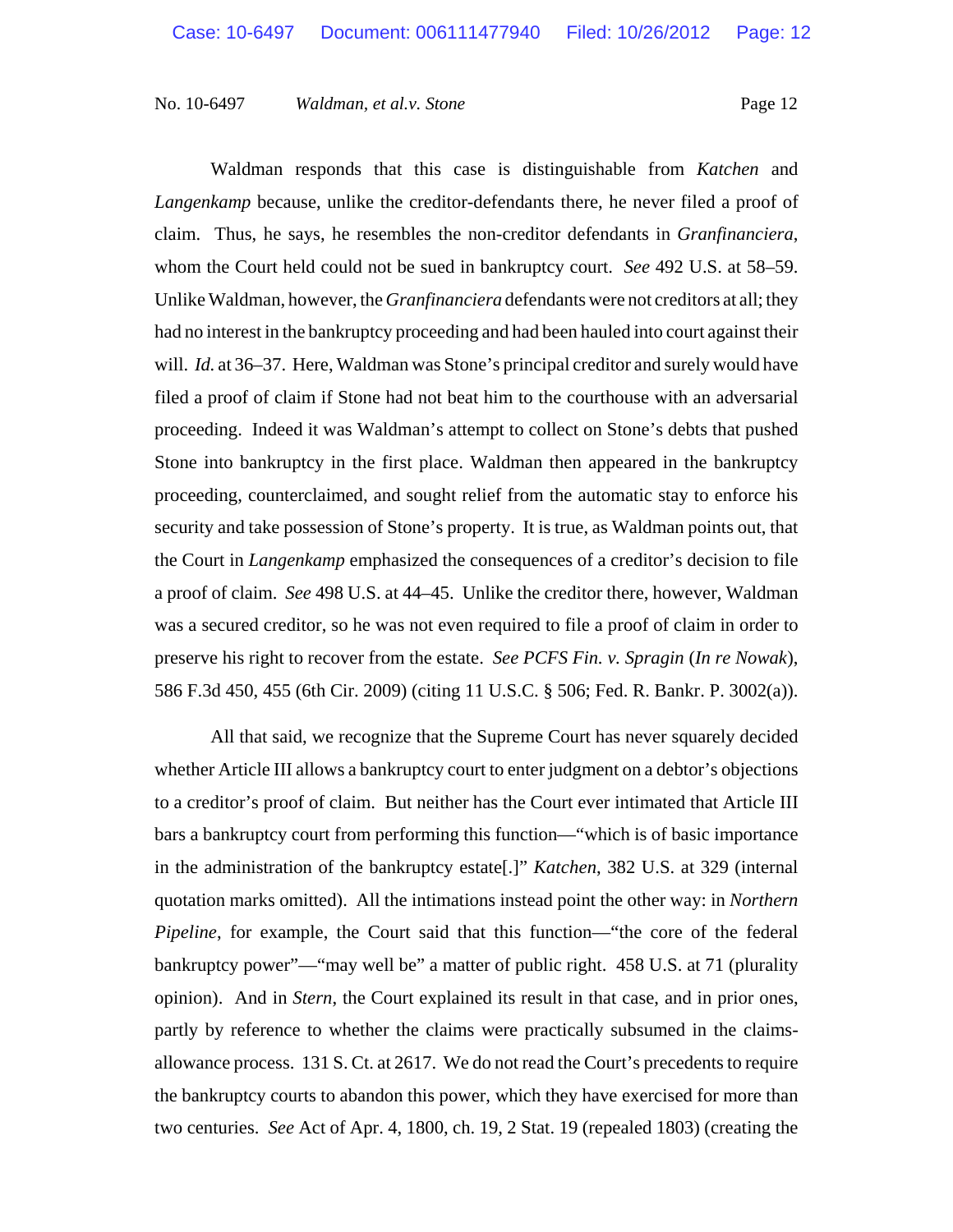Waldman responds that this case is distinguishable from *Katchen* and *Langenkamp* because, unlike the creditor-defendants there, he never filed a proof of claim. Thus, he says, he resembles the non-creditor defendants in *Granfinanciera*, whom the Court held could not be sued in bankruptcy court. *See* 492 U.S. at 58–59. Unlike Waldman, however, the *Granfinanciera* defendants were not creditors at all; they had no interest in the bankruptcy proceeding and had been hauled into court against their will. *Id.* at 36–37. Here, Waldman was Stone's principal creditor and surely would have filed a proof of claim if Stone had not beat him to the courthouse with an adversarial proceeding. Indeed it was Waldman's attempt to collect on Stone's debts that pushed Stone into bankruptcy in the first place. Waldman then appeared in the bankruptcy proceeding, counterclaimed, and sought relief from the automatic stay to enforce his security and take possession of Stone's property. It is true, as Waldman points out, that the Court in *Langenkamp* emphasized the consequences of a creditor's decision to file a proof of claim. *See* 498 U.S. at 44–45. Unlike the creditor there, however, Waldman was a secured creditor, so he was not even required to file a proof of claim in order to preserve his right to recover from the estate. *See PCFS Fin. v. Spragin* (*In re Nowak*), 586 F.3d 450, 455 (6th Cir. 2009) (citing 11 U.S.C. § 506; Fed. R. Bankr. P. 3002(a)).

All that said, we recognize that the Supreme Court has never squarely decided whether Article III allows a bankruptcy court to enter judgment on a debtor's objections to a creditor's proof of claim. But neither has the Court ever intimated that Article III bars a bankruptcy court from performing this function—"which is of basic importance in the administration of the bankruptcy estate[.]" *Katchen*, 382 U.S. at 329 (internal quotation marks omitted). All the intimations instead point the other way: in *Northern Pipeline*, for example, the Court said that this function—"the core of the federal bankruptcy power"—"may well be" a matter of public right. 458 U.S. at 71 (plurality opinion). And in *Stern*, the Court explained its result in that case, and in prior ones, partly by reference to whether the claims were practically subsumed in the claimsallowance process. 131 S. Ct. at 2617. We do not read the Court's precedents to require the bankruptcy courts to abandon this power, which they have exercised for more than two centuries. *See* Act of Apr. 4, 1800, ch. 19, 2 Stat. 19 (repealed 1803) (creating the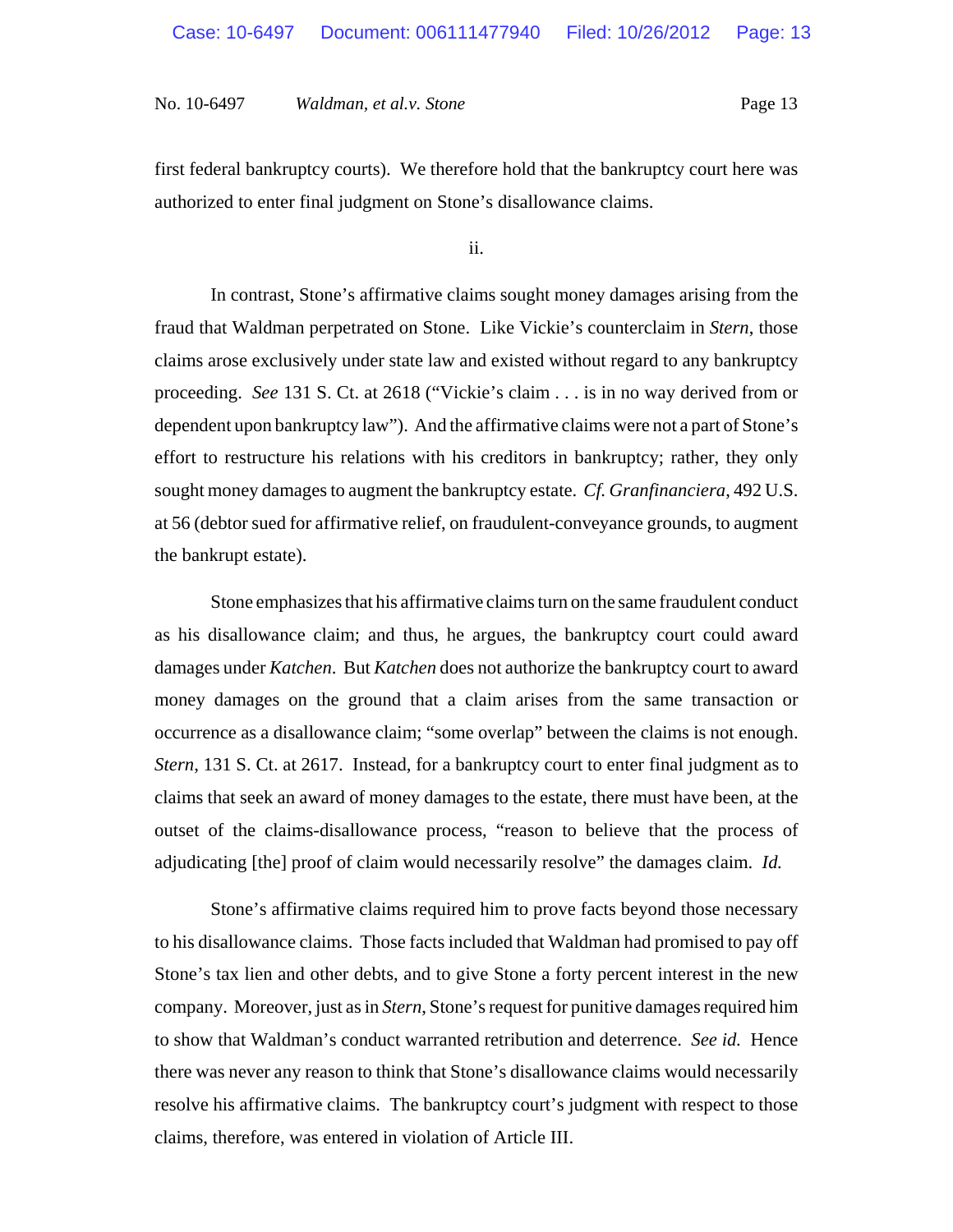first federal bankruptcy courts). We therefore hold that the bankruptcy court here was authorized to enter final judgment on Stone's disallowance claims.

ii.

In contrast, Stone's affirmative claims sought money damages arising from the fraud that Waldman perpetrated on Stone. Like Vickie's counterclaim in *Stern*, those claims arose exclusively under state law and existed without regard to any bankruptcy proceeding. *See* 131 S. Ct. at 2618 ("Vickie's claim . . . is in no way derived from or dependent upon bankruptcy law"). And the affirmative claims were not a part of Stone's effort to restructure his relations with his creditors in bankruptcy; rather, they only sought money damages to augment the bankruptcy estate. *Cf. Granfinanciera*, 492 U.S. at 56 (debtor sued for affirmative relief, on fraudulent-conveyance grounds, to augment the bankrupt estate).

Stone emphasizes that his affirmative claims turn on the same fraudulent conduct as his disallowance claim; and thus, he argues, the bankruptcy court could award damages under *Katchen*. But *Katchen* does not authorize the bankruptcy court to award money damages on the ground that a claim arises from the same transaction or occurrence as a disallowance claim; "some overlap" between the claims is not enough. *Stern*, 131 S. Ct. at 2617. Instead, for a bankruptcy court to enter final judgment as to claims that seek an award of money damages to the estate, there must have been, at the outset of the claims-disallowance process, "reason to believe that the process of adjudicating [the] proof of claim would necessarily resolve" the damages claim. *Id.*

Stone's affirmative claims required him to prove facts beyond those necessary to his disallowance claims. Those facts included that Waldman had promised to pay off Stone's tax lien and other debts, and to give Stone a forty percent interest in the new company. Moreover, just as in *Stern*, Stone's request for punitive damages required him to show that Waldman's conduct warranted retribution and deterrence. *See id.* Hence there was never any reason to think that Stone's disallowance claims would necessarily resolve his affirmative claims. The bankruptcy court's judgment with respect to those claims, therefore, was entered in violation of Article III.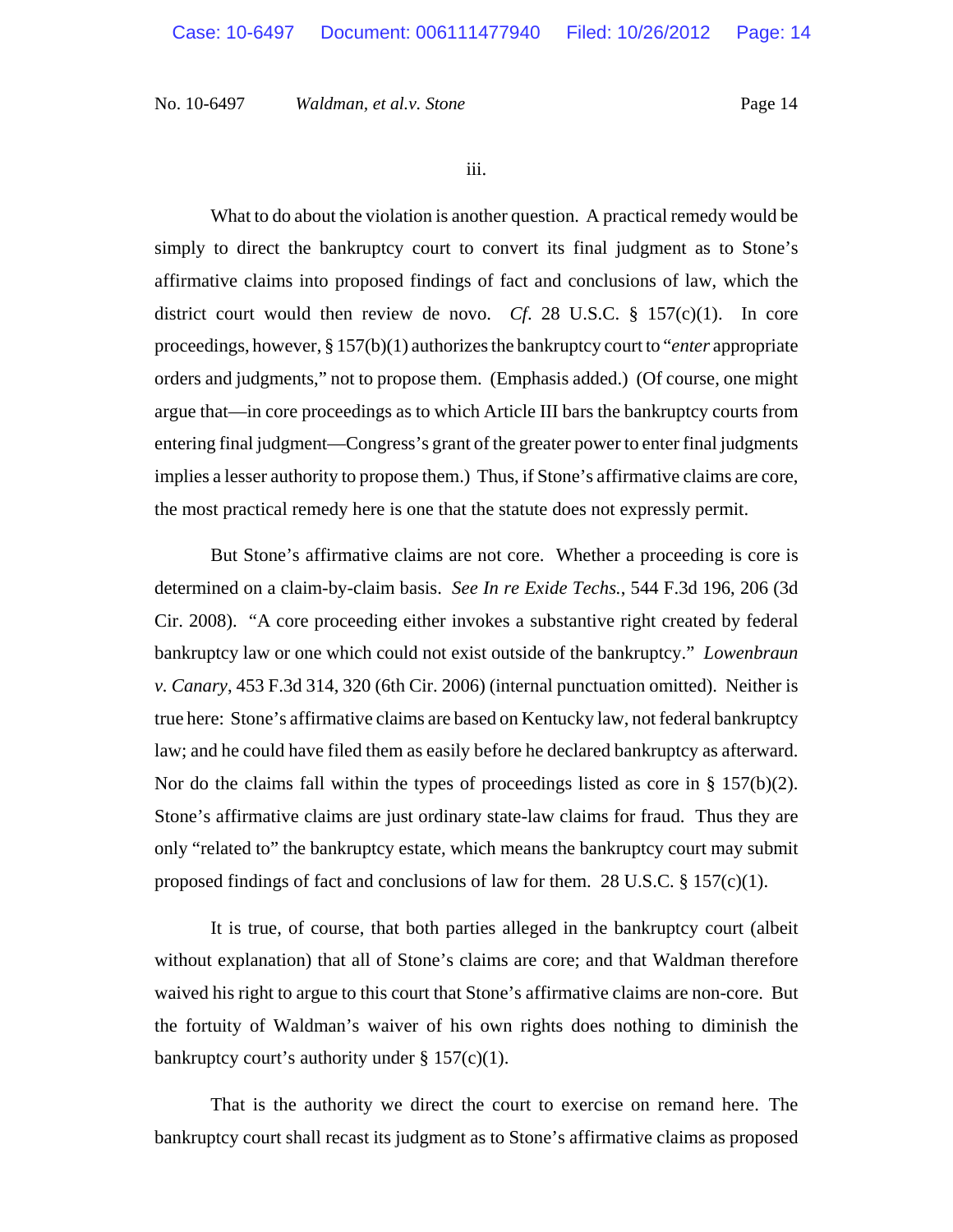iii.

What to do about the violation is another question. A practical remedy would be simply to direct the bankruptcy court to convert its final judgment as to Stone's affirmative claims into proposed findings of fact and conclusions of law, which the district court would then review de novo. *Cf*. 28 U.S.C. § 157(c)(1). In core proceedings, however, § 157(b)(1) authorizes the bankruptcy court to "*enter* appropriate orders and judgments," not to propose them. (Emphasis added.) (Of course, one might argue that—in core proceedings as to which Article III bars the bankruptcy courts from entering final judgment—Congress's grant of the greater power to enter final judgments implies a lesser authority to propose them.) Thus, if Stone's affirmative claims are core, the most practical remedy here is one that the statute does not expressly permit.

But Stone's affirmative claims are not core. Whether a proceeding is core is determined on a claim-by-claim basis. *See In re Exide Techs.*, 544 F.3d 196, 206 (3d Cir. 2008). "A core proceeding either invokes a substantive right created by federal bankruptcy law or one which could not exist outside of the bankruptcy." *Lowenbraun v. Canary*, 453 F.3d 314, 320 (6th Cir. 2006) (internal punctuation omitted). Neither is true here: Stone's affirmative claims are based on Kentucky law, not federal bankruptcy law; and he could have filed them as easily before he declared bankruptcy as afterward. Nor do the claims fall within the types of proceedings listed as core in § 157(b)(2). Stone's affirmative claims are just ordinary state-law claims for fraud. Thus they are only "related to" the bankruptcy estate, which means the bankruptcy court may submit proposed findings of fact and conclusions of law for them. 28 U.S.C.  $\S 157(c)(1)$ .

It is true, of course, that both parties alleged in the bankruptcy court (albeit without explanation) that all of Stone's claims are core; and that Waldman therefore waived his right to argue to this court that Stone's affirmative claims are non-core. But the fortuity of Waldman's waiver of his own rights does nothing to diminish the bankruptcy court's authority under  $\S 157(c)(1)$ .

 That is the authority we direct the court to exercise on remand here. The bankruptcy court shall recast its judgment as to Stone's affirmative claims as proposed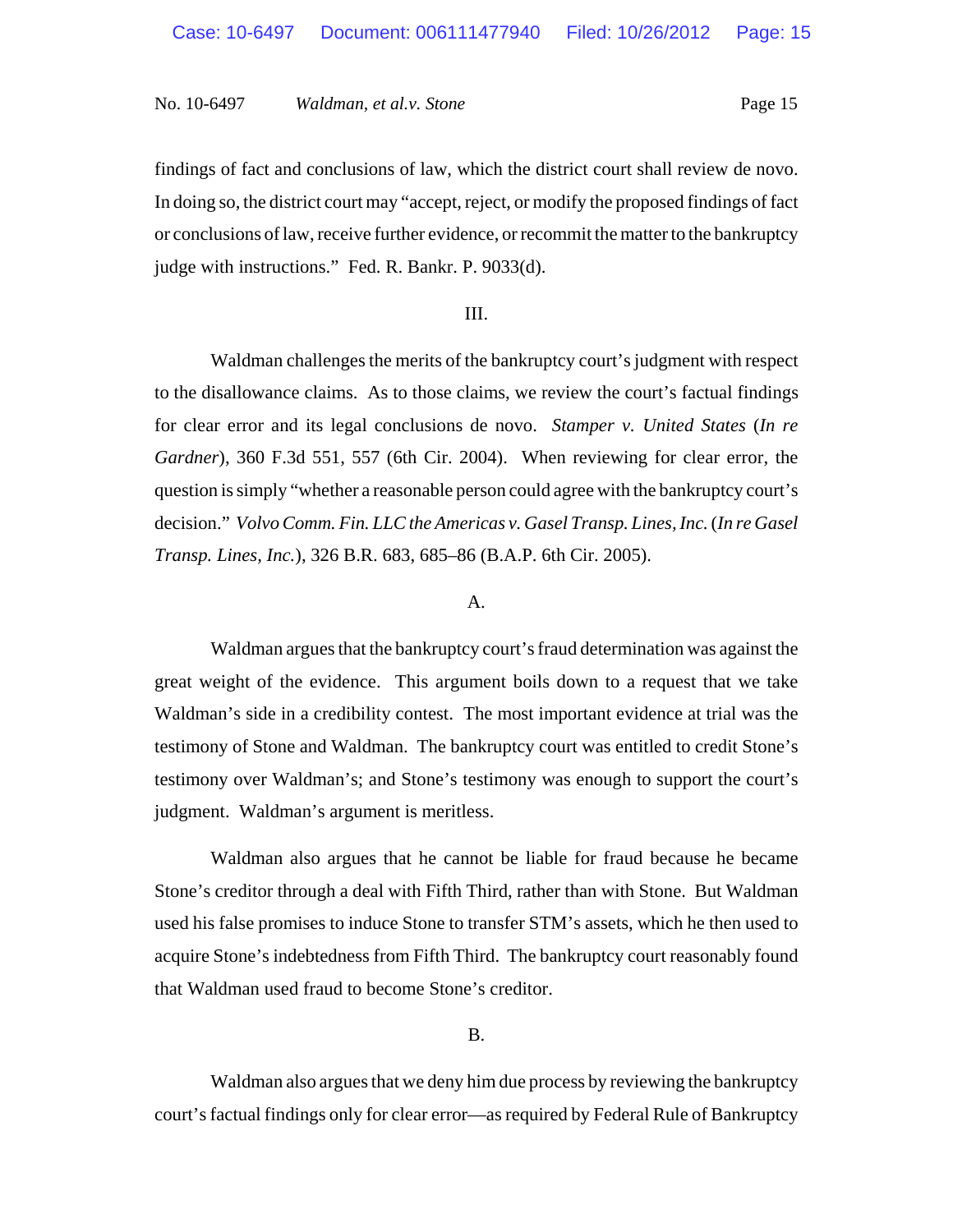findings of fact and conclusions of law, which the district court shall review de novo. In doing so, the district court may "accept, reject, or modify the proposed findings of fact or conclusions of law, receive further evidence, or recommit the matter to the bankruptcy judge with instructions." Fed. R. Bankr. P. 9033(d).

### III.

Waldman challenges the merits of the bankruptcy court's judgment with respect to the disallowance claims. As to those claims, we review the court's factual findings for clear error and its legal conclusions de novo. *Stamper v. United States* (*In re Gardner*), 360 F.3d 551, 557 (6th Cir. 2004). When reviewing for clear error, the question is simply "whether a reasonable person could agree with the bankruptcy court's decision." *Volvo Comm. Fin. LLC the Americas v. Gasel Transp. Lines, Inc. (In re Gasel Transp. Lines, Inc.*), 326 B.R. 683, 685–86 (B.A.P. 6th Cir. 2005).

### A.

Waldman argues that the bankruptcy court's fraud determination was against the great weight of the evidence. This argument boils down to a request that we take Waldman's side in a credibility contest. The most important evidence at trial was the testimony of Stone and Waldman. The bankruptcy court was entitled to credit Stone's testimony over Waldman's; and Stone's testimony was enough to support the court's judgment. Waldman's argument is meritless.

Waldman also argues that he cannot be liable for fraud because he became Stone's creditor through a deal with Fifth Third, rather than with Stone. But Waldman used his false promises to induce Stone to transfer STM's assets, which he then used to acquire Stone's indebtedness from Fifth Third. The bankruptcy court reasonably found that Waldman used fraud to become Stone's creditor.

### B.

Waldman also argues that we deny him due process by reviewing the bankruptcy court's factual findings only for clear error—as required by Federal Rule of Bankruptcy